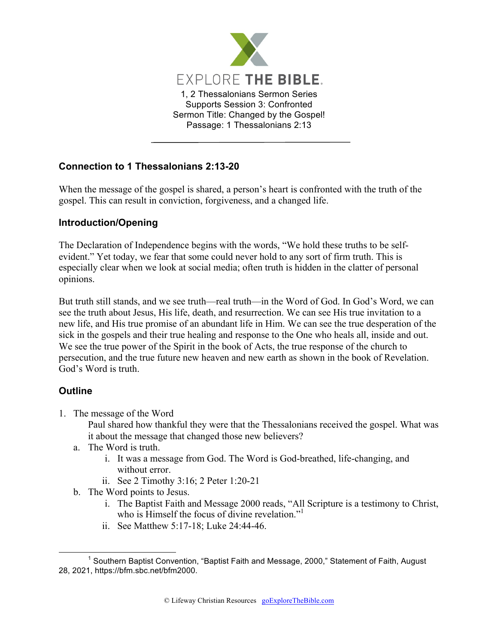

## **Connection to 1 Thessalonians 2:13-20**

When the message of the gospel is shared, a person's heart is confronted with the truth of the gospel. This can result in conviction, forgiveness, and a changed life.

## **Introduction/Opening**

The Declaration of Independence begins with the words, "We hold these truths to be selfevident." Yet today, we fear that some could never hold to any sort of firm truth. This is especially clear when we look at social media; often truth is hidden in the clatter of personal opinions.

But truth still stands, and we see truth—real truth—in the Word of God. In God's Word, we can see the truth about Jesus, His life, death, and resurrection. We can see His true invitation to a new life, and His true promise of an abundant life in Him. We can see the true desperation of the sick in the gospels and their true healing and response to the One who heals all, inside and out. We see the true power of the Spirit in the book of Acts, the true response of the church to persecution, and the true future new heaven and new earth as shown in the book of Revelation. God's Word is truth.

## **Outline**

1. The message of the Word

Paul shared how thankful they were that the Thessalonians received the gospel. What was it about the message that changed those new believers?

- a. The Word is truth.
	- i. It was a message from God. The Word is God-breathed, life-changing, and without error.
	- ii. See 2 Timothy 3:16; 2 Peter 1:20-21
- b. The Word points to Jesus.
	- i. The Baptist Faith and Message 2000 reads, "All Scripture is a testimony to Christ, who is Himself the focus of divine revelation."<sup>1</sup>
	- ii. See Matthew 5:17-18; Luke 24:44-46.

 $1$  Southern Baptist Convention, "Baptist Faith and Message, 2000," Statement of Faith, August 28, 2021, https://bfm.sbc.net/bfm2000.